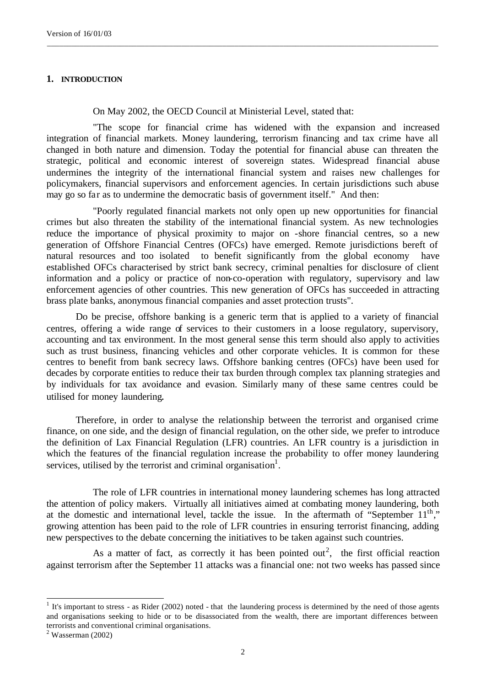## **1. INTRODUCTION**

On May 2002, the OECD Council at Ministerial Level, stated that:

"The scope for financial crime has widened with the expansion and increased integration of financial markets. Money laundering, terrorism financing and tax crime have all changed in both nature and dimension. Today the potential for financial abuse can threaten the strategic, political and economic interest of sovereign states. Widespread financial abuse undermines the integrity of the international financial system and raises new challenges for policymakers, financial supervisors and enforcement agencies. In certain jurisdictions such abuse may go so far as to undermine the democratic basis of government itself." And then:

\_\_\_\_\_\_\_\_\_\_\_\_\_\_\_\_\_\_\_\_\_\_\_\_\_\_\_\_\_\_\_\_\_\_\_\_\_\_\_\_\_\_\_\_\_\_\_\_\_\_\_\_\_\_\_\_\_\_\_\_\_\_\_\_\_\_\_\_\_\_\_\_\_\_\_\_\_\_\_\_\_\_\_\_\_\_\_\_\_\_\_\_\_\_\_\_

"Poorly regulated financial markets not only open up new opportunities for financial crimes but also threaten the stability of the international financial system. As new technologies reduce the importance of physical proximity to major on -shore financial centres, so a new generation of Offshore Financial Centres (OFCs) have emerged. Remote jurisdictions bereft of natural resources and too isolated to benefit significantly from the global economy have established OFCs characterised by strict bank secrecy, criminal penalties for disclosure of client information and a policy or practice of non-co-operation with regulatory, supervisory and law enforcement agencies of other countries. This new generation of OFCs has succeeded in attracting brass plate banks, anonymous financial companies and asset protection trusts".

Do be precise, offshore banking is a generic term that is applied to a variety of financial centres, offering a wide range of services to their customers in a loose regulatory, supervisory, accounting and tax environment. In the most general sense this term should also apply to activities such as trust business, financing vehicles and other corporate vehicles. It is common for these centres to benefit from bank secrecy laws. Offshore banking centres (OFCs) have been used for decades by corporate entities to reduce their tax burden through complex tax planning strategies and by individuals for tax avoidance and evasion. Similarly many of these same centres could be utilised for money laundering.

Therefore, in order to analyse the relationship between the terrorist and organised crime finance, on one side, and the design of financial regulation, on the other side, we prefer to introduce the definition of Lax Financial Regulation (LFR) countries. An LFR country is a jurisdiction in which the features of the financial regulation increase the probability to offer money laundering services, utilised by the terrorist and criminal organisation<sup>1</sup>.

The role of LFR countries in international money laundering schemes has long attracted the attention of policy makers. Virtually all initiatives aimed at combating money laundering, both at the domestic and international level, tackle the issue. In the aftermath of "September  $11<sup>th</sup>$ " growing attention has been paid to the role of LFR countries in ensuring terrorist financing, adding new perspectives to the debate concerning the initiatives to be taken against such countries.

As a matter of fact, as correctly it has been pointed out<sup>2</sup>, the first official reaction against terrorism after the September 11 attacks was a financial one: not two weeks has passed since

l

 $<sup>1</sup>$  It's important to stress - as Rider (2002) noted - that the laundering process is determined by the need of those agents</sup> and organisations seeking to hide or to be disassociated from the wealth, there are important differences between terrorists and conventional criminal organisations.

 $2$  Wasserman (2002)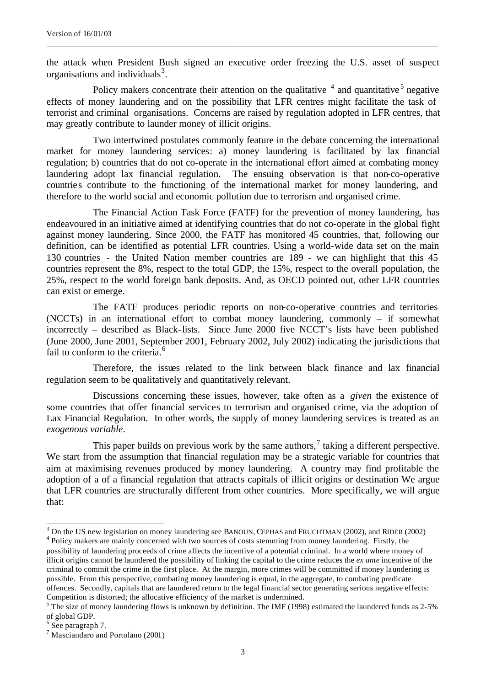the attack when President Bush signed an executive order freezing the U.S. asset of suspect organisations and individuals<sup>3</sup>.

\_\_\_\_\_\_\_\_\_\_\_\_\_\_\_\_\_\_\_\_\_\_\_\_\_\_\_\_\_\_\_\_\_\_\_\_\_\_\_\_\_\_\_\_\_\_\_\_\_\_\_\_\_\_\_\_\_\_\_\_\_\_\_\_\_\_\_\_\_\_\_\_\_\_\_\_\_\_\_\_\_\_\_\_\_\_\_\_\_\_\_\_\_\_\_\_

Policy makers concentrate their attention on the qualitative  $4$  and quantitative  $5$  negative effects of money laundering and on the possibility that LFR centres might facilitate the task of terrorist and criminal organisations. Concerns are raised by regulation adopted in LFR centres, that may greatly contribute to launder money of illicit origins.

Two intertwined postulates commonly feature in the debate concerning the international market for money laundering services: a) money laundering is facilitated by lax financial regulation; b) countries that do not co-operate in the international effort aimed at combating money laundering adopt lax financial regulation. The ensuing observation is that non-co-operative countries contribute to the functioning of the international market for money laundering, and therefore to the world social and economic pollution due to terrorism and organised crime.

The Financial Action Task Force (FATF) for the prevention of money laundering, has endeavoured in an initiative aimed at identifying countries that do not co-operate in the global fight against money laundering. Since 2000, the FATF has monitored 45 countries, that, following our definition, can be identified as potential LFR countries. Using a world-wide data set on the main 130 countries - the United Nation member countries are 189 - we can highlight that this 45 countries represent the 8%, respect to the total GDP, the 15%, respect to the overall population, the 25%, respect to the world foreign bank deposits. And, as OECD pointed out, other LFR countries can exist or emerge.

The FATF produces periodic reports on non-co-operative countries and territories (NCCTs) in an international effort to combat money laundering, commonly – if somewhat incorrectly – described as Black-lists. Since June 2000 five NCCT's lists have been published (June 2000, June 2001, September 2001, February 2002, July 2002) indicating the jurisdictions that fail to conform to the criteria.<sup>6</sup>

Therefore, the issues related to the link between black finance and lax financial regulation seem to be qualitatively and quantitatively relevant.

Discussions concerning these issues, however, take often as a *given* the existence of some countries that offer financial services to terrorism and organised crime, via the adoption of Lax Financial Regulation. In other words, the supply of money laundering services is treated as an *exogenous variable*.

This paper builds on previous work by the same authors,<sup>7</sup> taking a different perspective. We start from the assumption that financial regulation may be a strategic variable for countries that aim at maximising revenues produced by money laundering. A country may find profitable the adoption of a of a financial regulation that attracts capitals of illicit origins or destination We argue that LFR countries are structurally different from other countries. More specifically, we will argue that:

<sup>&</sup>lt;sup>3</sup> On the US new legislation on money laundering see BANOUN, CEPHAS and FRUCHTMAN (2002), and RIDER (2002)

<sup>&</sup>lt;sup>4</sup> Policy makers are mainly concerned with two sources of costs stemming from money laundering. Firstly, the possibility of laundering proceeds of crime affects the incentive of a potential criminal. In a world where money of illicit origins cannot be laundered the possibility of linking the capital to the crime reduces the *ex ante* incentive of the criminal to commit the crime in the first place. At the margin, more crimes will be committed if money laundering is possible. From this perspective, combating money laundering is equal, in the aggregate, to combating predicate offences. Secondly, capitals that are laundered return to the legal financial sector generating serious negative effects: Competition is distorted; the allocative efficiency of the market is undermined.

 $5$  The size of money laundering flows is unknown by definition. The IMF (1998) estimated the laundered funds as 2-5% of global GDP.

<sup>&</sup>lt;sup>6</sup> See paragraph 7.

<sup>7</sup> Masciandaro and Portolano (2001)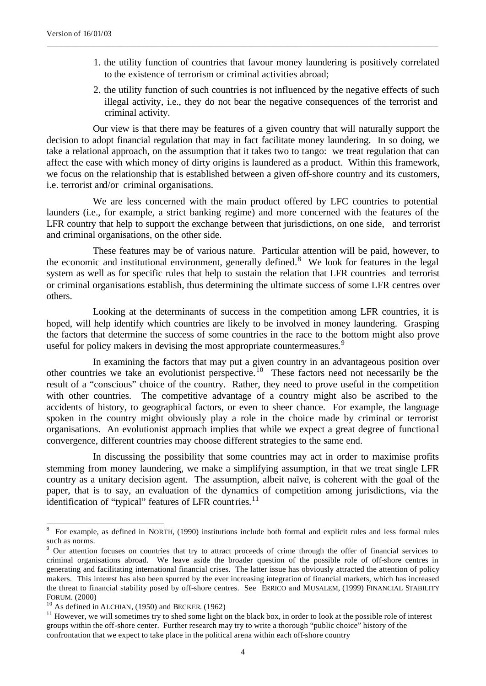- 1. the utility function of countries that favour money laundering is positively correlated to the existence of terrorism or criminal activities abroad;
- 2. the utility function of such countries is not influenced by the negative effects of such illegal activity, i.e., they do not bear the negative consequences of the terrorist and criminal activity.

Our view is that there may be features of a given country that will naturally support the decision to adopt financial regulation that may in fact facilitate money laundering. In so doing, we take a relational approach, on the assumption that it takes two to tango: we treat regulation that can affect the ease with which money of dirty origins is laundered as a product. Within this framework, we focus on the relationship that is established between a given off-shore country and its customers, i.e. terrorist and/or criminal organisations.

\_\_\_\_\_\_\_\_\_\_\_\_\_\_\_\_\_\_\_\_\_\_\_\_\_\_\_\_\_\_\_\_\_\_\_\_\_\_\_\_\_\_\_\_\_\_\_\_\_\_\_\_\_\_\_\_\_\_\_\_\_\_\_\_\_\_\_\_\_\_\_\_\_\_\_\_\_\_\_\_\_\_\_\_\_\_\_\_\_\_\_\_\_\_\_\_

We are less concerned with the main product offered by LFC countries to potential launders (i.e., for example, a strict banking regime) and more concerned with the features of the LFR country that help to support the exchange between that jurisdictions, on one side, and terrorist and criminal organisations, on the other side.

These features may be of various nature. Particular attention will be paid, however, to the economic and institutional environment, generally defined.<sup>8</sup> We look for features in the legal system as well as for specific rules that help to sustain the relation that LFR countries and terrorist or criminal organisations establish, thus determining the ultimate success of some LFR centres over others.

Looking at the determinants of success in the competition among LFR countries, it is hoped, will help identify which countries are likely to be involved in money laundering. Grasping the factors that determine the success of some countries in the race to the bottom might also prove useful for policy makers in devising the most appropriate countermeasures.<sup>9</sup>

In examining the factors that may put a given country in an advantageous position over other countries we take an evolutionist perspective.<sup>10</sup> These factors need not necessarily be the result of a "conscious" choice of the country. Rather, they need to prove useful in the competition with other countries. The competitive advantage of a country might also be ascribed to the accidents of history, to geographical factors, or even to sheer chance. For example, the language spoken in the country might obviously play a role in the choice made by criminal or terrorist organisations. An evolutionist approach implies that while we expect a great degree of functiona l convergence, different countries may choose different strategies to the same end.

In discussing the possibility that some countries may act in order to maximise profits stemming from money laundering, we make a simplifying assumption, in that we treat single LFR country as a unitary decision agent. The assumption, albeit naïve, is coherent with the goal of the paper, that is to say, an evaluation of the dynamics of competition among jurisdictions, via the identification of "typical" features of LFR countries. $^{11}$ 

l

<sup>8</sup> For example, as defined in NORTH, (1990) institutions include both formal and explicit rules and less formal rules such as norms.

<sup>&</sup>lt;sup>9</sup> Our attention focuses on countries that try to attract proceeds of crime through the offer of financial services to criminal organisations abroad. We leave aside the broader question of the possible role of off-shore centres in generating and facilitating international financial crises. The latter issue has obviously attracted the attention of policy makers. This interest has also been spurred by the ever increasing integration of financial markets, which has increased the threat to financial stability posed by off-shore centres. See ERRICO and MUSALEM, (1999) FINANCIAL STABILITY FORUM. (2000)

 $10$  As defined in ALCHIAN, (1950) and BECKER. (1962)

 $11$  However, we will sometimes try to shed some light on the black box, in order to look at the possible role of interest groups within the off-shore center. Further research may try to write a thorough "public choice" history of the confrontation that we expect to take place in the political arena within each off-shore country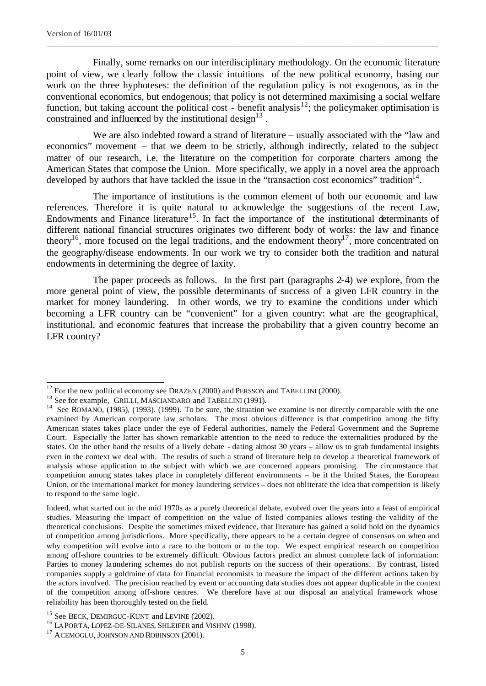l

Finally, some remarks on our interdisciplinary methodology. On the economic literature point of view, we clearly follow the classic intuitions of the new political economy, basing our work on the three hyphoteses: the definition of the regulation policy is not exogenous, as in the conventional economics, but endogenous; that policy is not determined maximising a social welfare function, but taking account the political cost - benefit analysis<sup>12</sup>; the policymaker optimisation is constrained and influenced by the institutional design $13$ .

\_\_\_\_\_\_\_\_\_\_\_\_\_\_\_\_\_\_\_\_\_\_\_\_\_\_\_\_\_\_\_\_\_\_\_\_\_\_\_\_\_\_\_\_\_\_\_\_\_\_\_\_\_\_\_\_\_\_\_\_\_\_\_\_\_\_\_\_\_\_\_\_\_\_\_\_\_\_\_\_\_\_\_\_\_\_\_\_\_\_\_\_\_\_\_\_

We are also indebted toward a strand of literature – usually associated with the "law and economics" movement – that we deem to be strictly, although indirectly, related to the subject matter of our research, i.e. the literature on the competition for corporate charters among the American States that compose the Union. More specifically, we apply in a novel area the approach developed by authors that have tackled the issue in the "transaction cost economics" tradition<sup>14</sup>.

The importance of institutions is the common element of both our economic and law references. Therefore it is quite natural to acknowledge the suggestions of the recent Law, Endowments and Finance literature<sup>15</sup>. In fact the importance of the institutional determinants of different national financial structures originates two different body of works: the law and finance theory<sup>16</sup>, more focused on the legal traditions, and the endowment theory<sup>17</sup>, more concentrated on the geography/disease endowments. In our work we try to consider both the tradition and natural endowments in determining the degree of laxity.

The paper proceeds as follows. In the first part (paragraphs 2-4) we explore, from the more general point of view, the possible determinants of success of a given LFR country in the market for money laundering. In other words, we try to examine the conditions under which becoming a LFR country can be "convenient" for a given country: what are the geographical, institutional, and economic features that increase the probability that a given country become an LFR country?

 $12$  For the new political economy see DRAZEN (2000) and PERSSON and TABELLINI (2000).

<sup>&</sup>lt;sup>13</sup> See for example, GRILLI, MASCIANDARO and TABELLINI (1991).

<sup>&</sup>lt;sup>14</sup> See ROMANO, (1985), (1993). (1999). To be sure, the situation we examine is not directly comparable with the one examined by American corporate law scholars. The most obvious difference is that competition among the fifty American states takes place under the eye of Federal authorities, namely the Federal Government and the Supreme Court. Especially the latter has shown remarkable attention to the need to reduce the externalities produced by the states. On the other hand the results of a lively debate - dating almost 30 years – allow us to grab fundamental insights even in the context we deal with. The results of such a strand of literature help to develop a theoretical framework of analysis whose application to the subject with which we are concerned appears promising. The circumstance that competition among states takes place in completely different environments – be it the United States, the European Union, or the international market for money laundering services – does not obliterate the idea that competition is likely to respond to the same logic.

Indeed, what started out in the mid 1970s as a purely theoretical debate, evolved over the years into a feast of empirical studies. Measuring the impact of competition on the value of listed companies allows testing the validity of the theoretical conclusions. Despite the sometimes mixed evidence, that literature has gained a solid hold on the dynamics of competition among jurisdictions. More specifically, there appears to be a certain degree of consensus on when and why competition will evolve into a race to the bottom or to the top. We expect empirical research on competition among off-shore countries to be extremely difficult. Obvious factors predict an almost complete lack of information: Parties to money laundering schemes do not publish reports on the success of their operations. By contrast, listed companies supply a goldmine of data for financial economists to measure the impact of the different actions taken by the actors involved. The precision reached by event or accounting data studies does not appear duplicable in the context of the competition among off-shore centres. We therefore have at our disposal an analytical framework whose reliability has been thoroughly tested on the field.

<sup>&</sup>lt;sup>15</sup> See BECK, DEMIRGUC-KUNT and LEVINE (2002).

<sup>16</sup> LAPORTA, LOPEZ-DE-SILANES, SHLEIFER and VISHNY (1998).

<sup>&</sup>lt;sup>17</sup> ACEMOGLU, JOHNSON AND ROBINSON (2001).